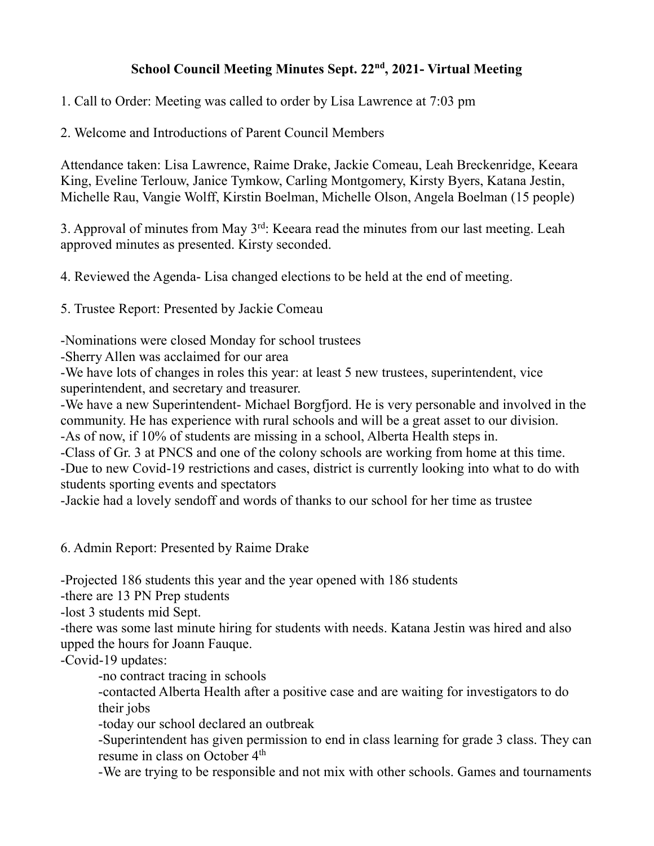## **School Council Meeting Minutes Sept. 22nd, 2021- Virtual Meeting**

1. Call to Order: Meeting was called to order by Lisa Lawrence at 7:03 pm

2. Welcome and Introductions of Parent Council Members

Attendance taken: Lisa Lawrence, Raime Drake, Jackie Comeau, Leah Breckenridge, Keeara King, Eveline Terlouw, Janice Tymkow, Carling Montgomery, Kirsty Byers, Katana Jestin, Michelle Rau, Vangie Wolff, Kirstin Boelman, Michelle Olson, Angela Boelman (15 people)

3. Approval of minutes from May 3rd: Keeara read the minutes from our last meeting. Leah approved minutes as presented. Kirsty seconded.

4. Reviewed the Agenda- Lisa changed elections to be held at the end of meeting.

5. Trustee Report: Presented by Jackie Comeau

-Nominations were closed Monday for school trustees

-Sherry Allen was acclaimed for our area

-We have lots of changes in roles this year: at least 5 new trustees, superintendent, vice superintendent, and secretary and treasurer.

-We have a new Superintendent- Michael Borgfjord. He is very personable and involved in the community. He has experience with rural schools and will be a great asset to our division. -As of now, if 10% of students are missing in a school, Alberta Health steps in.

-Class of Gr. 3 at PNCS and one of the colony schools are working from home at this time. -Due to new Covid-19 restrictions and cases, district is currently looking into what to do with

students sporting events and spectators

-Jackie had a lovely sendoff and words of thanks to our school for her time as trustee

6. Admin Report: Presented by Raime Drake

-Projected 186 students this year and the year opened with 186 students

-there are 13 PN Prep students

-lost 3 students mid Sept.

-there was some last minute hiring for students with needs. Katana Jestin was hired and also upped the hours for Joann Fauque.

-Covid-19 updates:

-no contract tracing in schools

-contacted Alberta Health after a positive case and are waiting for investigators to do their jobs

-today our school declared an outbreak

-Superintendent has given permission to end in class learning for grade 3 class. They can resume in class on October 4<sup>th</sup>

-We are trying to be responsible and not mix with other schools. Games and tournaments